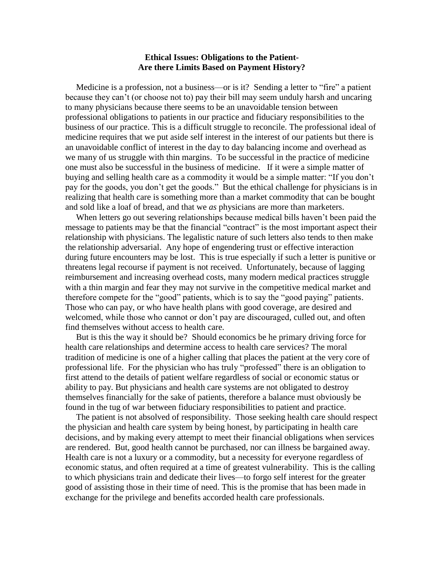## **Ethical Issues: Obligations to the Patient-Are there Limits Based on Payment History?**

 Medicine is a profession, not a business—or is it? Sending a letter to "fire" a patient because they can't (or choose not to) pay their bill may seem unduly harsh and uncaring to many physicians because there seems to be an unavoidable tension between professional obligations to patients in our practice and fiduciary responsibilities to the business of our practice. This is a difficult struggle to reconcile. The professional ideal of medicine requires that we put aside self interest in the interest of our patients but there is an unavoidable conflict of interest in the day to day balancing income and overhead as we many of us struggle with thin margins. To be successful in the practice of medicine one must also be successful in the business of medicine. If it were a simple matter of buying and selling health care as a commodity it would be a simple matter: "If you don't pay for the goods, you don't get the goods." But the ethical challenge for physicians is in realizing that health care is something more than a market commodity that can be bought and sold like a loaf of bread, and that we *as* physicians are more than marketers.

 When letters go out severing relationships because medical bills haven't been paid the message to patients may be that the financial "contract" is the most important aspect their relationship with physicians. The legalistic nature of such letters also tends to then make the relationship adversarial. Any hope of engendering trust or effective interaction during future encounters may be lost. This is true especially if such a letter is punitive or threatens legal recourse if payment is not received. Unfortunately, because of lagging reimbursement and increasing overhead costs, many modern medical practices struggle with a thin margin and fear they may not survive in the competitive medical market and therefore compete for the "good" patients, which is to say the "good paying" patients. Those who can pay, or who have health plans with good coverage, are desired and welcomed, while those who cannot or don't pay are discouraged, culled out, and often find themselves without access to health care.

 But is this the way it should be? Should economics be he primary driving force for health care relationships and determine access to health care services? The moral tradition of medicine is one of a higher calling that places the patient at the very core of professional life. For the physician who has truly "professed" there is an obligation to first attend to the details of patient welfare regardless of social or economic status or ability to pay. But physicians and health care systems are not obligated to destroy themselves financially for the sake of patients, therefore a balance must obviously be found in the tug of war between fiduciary responsibilities to patient and practice.

 The patient is not absolved of responsibility. Those seeking health care should respect the physician and health care system by being honest, by participating in health care decisions, and by making every attempt to meet their financial obligations when services are rendered. But, good health cannot be purchased, nor can illness be bargained away. Health care is not a luxury or a commodity, but a necessity for everyone regardless of economic status, and often required at a time of greatest vulnerability. This is the calling to which physicians train and dedicate their lives—to forgo self interest for the greater good of assisting those in their time of need. This is the promise that has been made in exchange for the privilege and benefits accorded health care professionals.